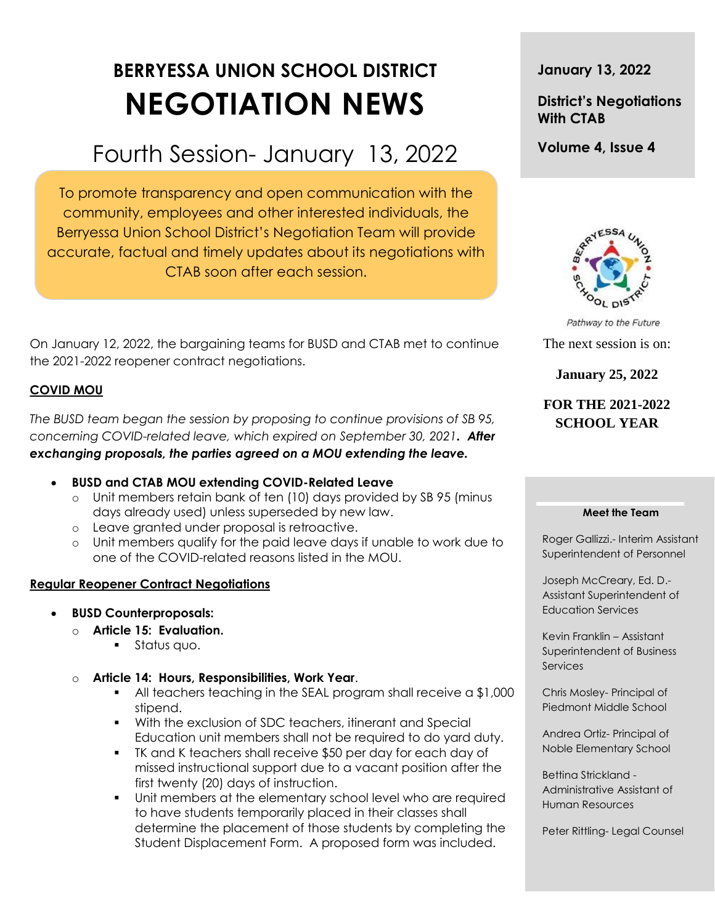# **BERRYESSA UNION SCHOOL DISTRICT NEGOTIATION NEWS**

## Fourth Session- January 13, 2022

To promote transparency and open communication with the community, employees and other interested individuals, the Berryessa Union School District's Negotiation Team will provide accurate, factual and timely updates about its negotiations with CTAB soon after each session.

On January 12, 2022, the bargaining teams for BUSD and CTAB met to continue the 2021-2022 reopener contract negotiations.

## **COVID MOU**

*The BUSD team began the session by proposing to continue provisions of SB 95, concerning COVID-related leave, which expired on September 30, 2021. After exchanging proposals, the parties agreed on a MOU extending the leave.*

- **BUSD and CTAB MOU extending COVID-Related Leave**
	- o Unit members retain bank of ten (10) days provided by SB 95 (minus days already used) unless superseded by new law.
	- o Leave granted under proposal is retroactive.
	- o Unit members qualify for the paid leave days if unable to work due to one of the COVID-related reasons listed in the MOU.

#### **Regular Reopener Contract Negotiations**

- **BUSD Counterproposals:**
	- o **Article 15: Evaluation.**
		- Status quo.
	- o **Article 14: Hours, Responsibilities, Work Year**.
		- All teachers teaching in the SEAL program shall receive a \$1,000 stipend.
		- With the exclusion of SDC teachers, itinerant and Special Education unit members shall not be required to do yard duty.
		- TK and K teachers shall receive \$50 per day for each day of missed instructional support due to a vacant position after the first twenty (20) days of instruction.
		- Unit members at the elementary school level who are required to have students temporarily placed in their classes shall determine the placement of those students by completing the Student Displacement Form. A proposed form was included.

**January 13, 2022**

## **District's Negotiations With CTAB**

**Volume 4, Issue 4**



Pathway to the Future The next session is on:

**January 25, 2022**

## **FOR THE 2021-2022 SCHOOL YEAR**

#### **Meet the Team**

Roger Gallizzi.- Interim Assistant Superintendent of Personnel

Joseph McCreary, Ed. D.- Assistant Superintendent of Education Services

Kevin Franklin – Assistant Superintendent of Business **Services** 

Chris Mosley- Principal of Piedmont Middle School

Andrea Ortiz- Principal of Noble Elementary School

Bettina Strickland - Administrative Assistant of Human Resources

Peter Rittling- Legal Counsel

t